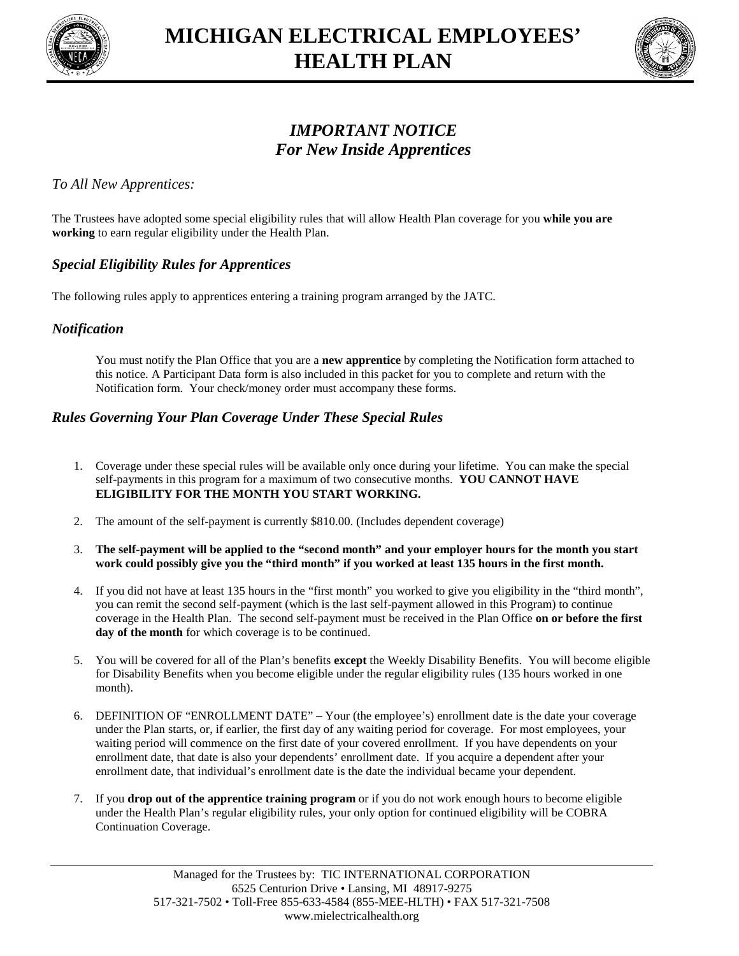



# *IMPORTANT NOTICE For New Inside Apprentices*

#### *To All New Apprentices:*

The Trustees have adopted some special eligibility rules that will allow Health Plan coverage for you **while you are working** to earn regular eligibility under the Health Plan.

## *Special Eligibility Rules for Apprentices*

The following rules apply to apprentices entering a training program arranged by the JATC.

#### *Notification*

You must notify the Plan Office that you are a **new apprentice** by completing the Notification form attached to this notice. A Participant Data form is also included in this packet for you to complete and return with the Notification form. Your check/money order must accompany these forms.

#### *Rules Governing Your Plan Coverage Under These Special Rules*

- 1. Coverage under these special rules will be available only once during your lifetime. You can make the special self-payments in this program for a maximum of two consecutive months. **YOU CANNOT HAVE ELIGIBILITY FOR THE MONTH YOU START WORKING.**
- 2. The amount of the self-payment is currently \$810.00. (Includes dependent coverage)
- 3. **The self-payment will be applied to the "second month" and your employer hours for the month you start work could possibly give you the "third month" if you worked at least 135 hours in the first month.**
- 4. If you did not have at least 135 hours in the "first month" you worked to give you eligibility in the "third month", you can remit the second self-payment (which is the last self-payment allowed in this Program) to continue coverage in the Health Plan. The second self-payment must be received in the Plan Office **on or before the first** day of the month for which coverage is to be continued.
- 5. You will be covered for all of the Plan's benefits **except** the Weekly Disability Benefits. You will become eligible for Disability Benefits when you become eligible under the regular eligibility rules (135 hours worked in one month).
- 6. DEFINITION OF "ENROLLMENT DATE" Your (the employee's) enrollment date is the date your coverage under the Plan starts, or, if earlier, the first day of any waiting period for coverage. For most employees, your waiting period will commence on the first date of your covered enrollment. If you have dependents on your enrollment date, that date is also your dependents' enrollment date. If you acquire a dependent after your enrollment date, that individual's enrollment date is the date the individual became your dependent.
- 7. If you **drop out of the apprentice training program** or if you do not work enough hours to become eligible under the Health Plan's regular eligibility rules, your only option for continued eligibility will be COBRA Continuation Coverage.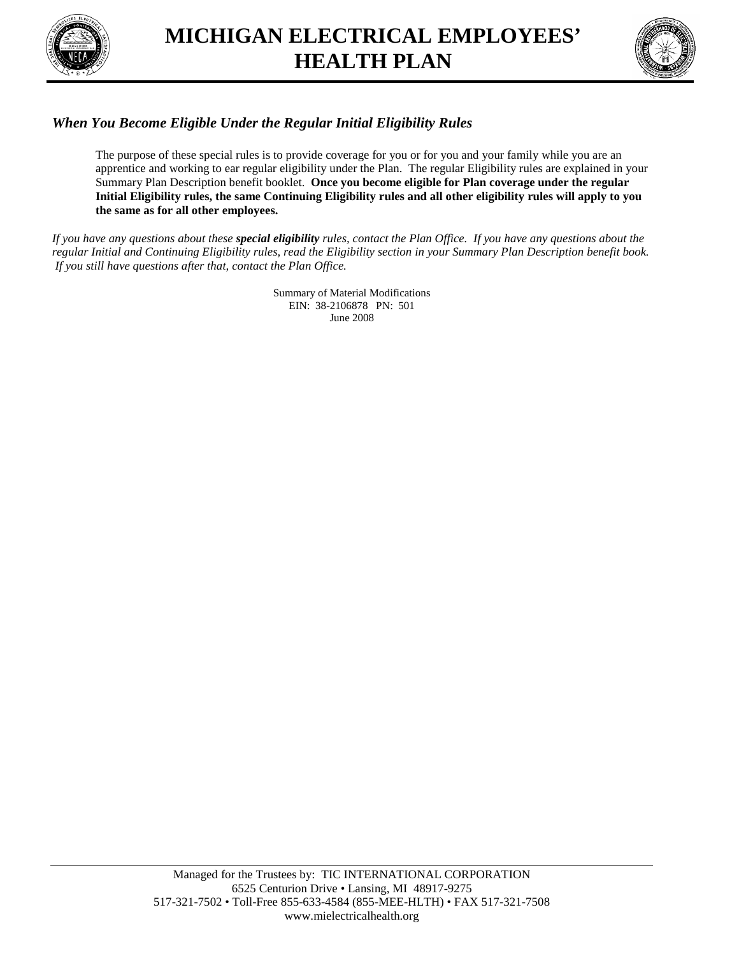

# **MICHIGAN ELECTRICAL EMPLOYEES' HEALTH PLAN**



## *When You Become Eligible Under the Regular Initial Eligibility Rules*

The purpose of these special rules is to provide coverage for you or for you and your family while you are an apprentice and working to ear regular eligibility under the Plan. The regular Eligibility rules are explained in your Summary Plan Description benefit booklet. **Once you become eligible for Plan coverage under the regular Initial Eligibility rules, the same Continuing Eligibility rules and all other eligibility rules will apply to you the same as for all other employees.**

*If you have any questions about these special eligibility rules, contact the Plan Office. If you have any questions about the regular Initial and Continuing Eligibility rules, read the Eligibility section in your Summary Plan Description benefit book. If you still have questions after that, contact the Plan Office.*

> Summary of Material Modifications EIN: 38-2106878 PN: 501 June 2008